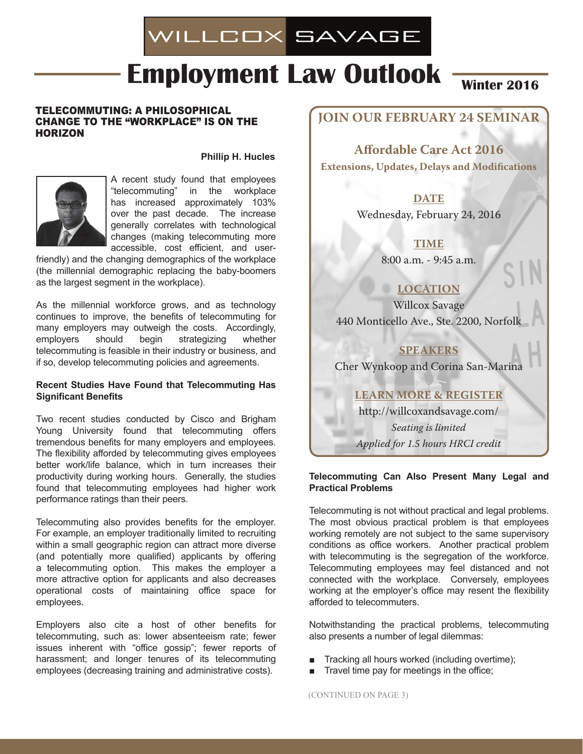# WILLCOX SAVAGE

# **Employment Law Outlook Winter 2016**

## Telecommuting: A Philosophical Change to the "Workplace" is on the Horizon

#### **Phillip H. Hucles**



A recent study found that employees "telecommuting" in the workplace has increased approximately 103% over the past decade. The increase generally correlates with technological changes (making telecommuting more accessible, cost efficient, and user-

friendly) and the changing demographics of the workplace (the millennial demographic replacing the baby-boomers as the largest segment in the workplace).

As the millennial workforce grows, and as technology continues to improve, the benefits of telecommuting for many employers may outweigh the costs. Accordingly, employers should begin strategizing whether telecommuting is feasible in their industry or business, and if so, develop telecommuting policies and agreements.

## **Recent Studies Have Found that Telecommuting Has Significant Benefits**

Two recent studies conducted by Cisco and Brigham Young University found that telecommuting offers tremendous benefits for many employers and employees. The flexibility afforded by telecommuting gives employees better work/life balance, which in turn increases their productivity during working hours. Generally, the studies found that telecommuting employees had higher work performance ratings than their peers.

Telecommuting also provides benefits for the employer. For example, an employer traditionally limited to recruiting within a small geographic region can attract more diverse (and potentially more qualified) applicants by offering a telecommuting option. This makes the employer a more attractive option for applicants and also decreases operational costs of maintaining office space for employees.

Employers also cite a host of other benefits for telecommuting, such as: lower absenteeism rate; fewer issues inherent with "office gossip"; fewer reports of harassment; and longer tenures of its telecommuting employees (decreasing training and administrative costs).

# **JOIN OUR February 24 Seminar**

**Affordable Care Act 2016 Extensions, Updates, Delays and Modifications**

# **DATE**

Wednesday, February 24, 2016

# **Time**

8:00 a.m. - 9:45 a.m.

# **Location**

Willcox Savage 440 Monticello Ave., Ste. 2200, Norfolk

# **Speakers**

Cher Wynkoop and Corina San-Marina

# **Learn More & Register**

http://willcoxandsavage.com/ *Seating is limited Applied for 1.5 hours HRCI credit*

#### **Telecommuting Can Also Present Many Legal and Practical Problems**

Telecommuting is not without practical and legal problems. The most obvious practical problem is that employees working remotely are not subject to the same supervisory conditions as office workers. Another practical problem with telecommuting is the segregation of the workforce. Telecommuting employees may feel distanced and not connected with the workplace. Conversely, employees working at the employer's office may resent the flexibility afforded to telecommuters.

Notwithstanding the practical problems, telecommuting also presents a number of legal dilemmas:

- Tracking all hours worked (including overtime);
- Travel time pay for meetings in the office;

(CONTINUED ON PAGE 3)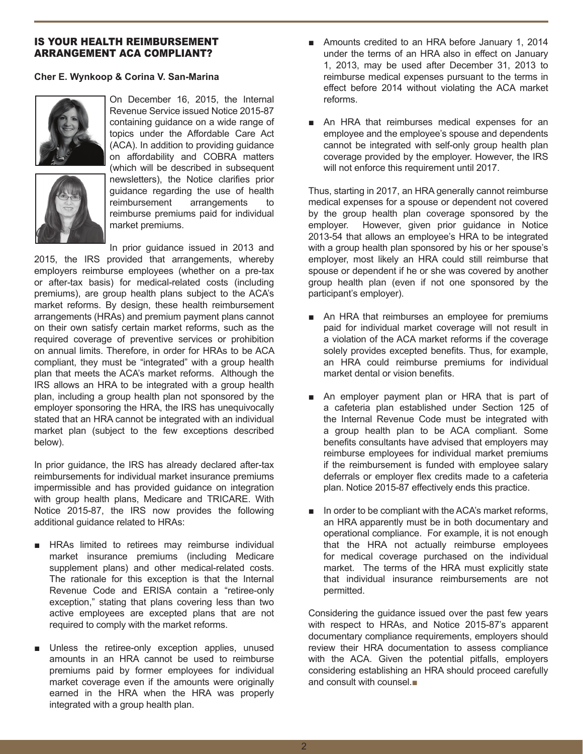# Is Your Health Reimbursement Arrangement ACA Compliant?

## **Cher E. Wynkoop & Corina V. San-Marina**



On December 16, 2015, the Internal Revenue Service issued Notice 2015-87 containing guidance on a wide range of topics under the Affordable Care Act (ACA). In addition to providing guidance on affordability and COBRA matters (which will be described in subsequent newsletters), the Notice clarifies prior guidance regarding the use of health reimbursement arrangements to reimburse premiums paid for individual market premiums.

In prior guidance issued in 2013 and 2015, the IRS provided that arrangements, whereby employers reimburse employees (whether on a pre-tax or after-tax basis) for medical-related costs (including premiums), are group health plans subject to the ACA's market reforms. By design, these health reimbursement arrangements (HRAs) and premium payment plans cannot on their own satisfy certain market reforms, such as the required coverage of preventive services or prohibition on annual limits. Therefore, in order for HRAs to be ACA compliant, they must be "integrated" with a group health plan that meets the ACA's market reforms. Although the IRS allows an HRA to be integrated with a group health plan, including a group health plan not sponsored by the employer sponsoring the HRA, the IRS has unequivocally stated that an HRA cannot be integrated with an individual market plan (subject to the few exceptions described below).

In prior guidance, the IRS has already declared after-tax reimbursements for individual market insurance premiums impermissible and has provided guidance on integration with group health plans, Medicare and TRICARE. With Notice 2015-87, the IRS now provides the following additional guidance related to HRAs:

- HRAs limited to retirees may reimburse individual market insurance premiums (including Medicare supplement plans) and other medical-related costs. The rationale for this exception is that the Internal Revenue Code and ERISA contain a "retiree-only exception," stating that plans covering less than two active employees are excepted plans that are not required to comply with the market reforms.
- Unless the retiree-only exception applies, unused amounts in an HRA cannot be used to reimburse premiums paid by former employees for individual market coverage even if the amounts were originally earned in the HRA when the HRA was properly integrated with a group health plan.
- Amounts credited to an HRA before January 1, 2014 under the terms of an HRA also in effect on January 1, 2013, may be used after December 31, 2013 to reimburse medical expenses pursuant to the terms in effect before 2014 without violating the ACA market reforms.
- An HRA that reimburses medical expenses for an employee and the employee's spouse and dependents cannot be integrated with self-only group health plan coverage provided by the employer. However, the IRS will not enforce this requirement until 2017.

Thus, starting in 2017, an HRA generally cannot reimburse medical expenses for a spouse or dependent not covered by the group health plan coverage sponsored by the employer. However, given prior guidance in Notice 2013-54 that allows an employee's HRA to be integrated with a group health plan sponsored by his or her spouse's employer, most likely an HRA could still reimburse that spouse or dependent if he or she was covered by another group health plan (even if not one sponsored by the participant's employer).

- An HRA that reimburses an employee for premiums paid for individual market coverage will not result in a violation of the ACA market reforms if the coverage solely provides excepted benefits. Thus, for example, an HRA could reimburse premiums for individual market dental or vision benefits.
- An employer payment plan or HRA that is part of a cafeteria plan established under Section 125 of the Internal Revenue Code must be integrated with a group health plan to be ACA compliant. Some benefits consultants have advised that employers may reimburse employees for individual market premiums if the reimbursement is funded with employee salary deferrals or employer flex credits made to a cafeteria plan. Notice 2015-87 effectively ends this practice.
- In order to be compliant with the ACA's market reforms, an HRA apparently must be in both documentary and operational compliance. For example, it is not enough that the HRA not actually reimburse employees for medical coverage purchased on the individual market. The terms of the HRA must explicitly state that individual insurance reimbursements are not permitted.

Considering the guidance issued over the past few years with respect to HRAs, and Notice 2015-87's apparent documentary compliance requirements, employers should review their HRA documentation to assess compliance with the ACA. Given the potential pitfalls, employers considering establishing an HRA should proceed carefully and consult with counsel.■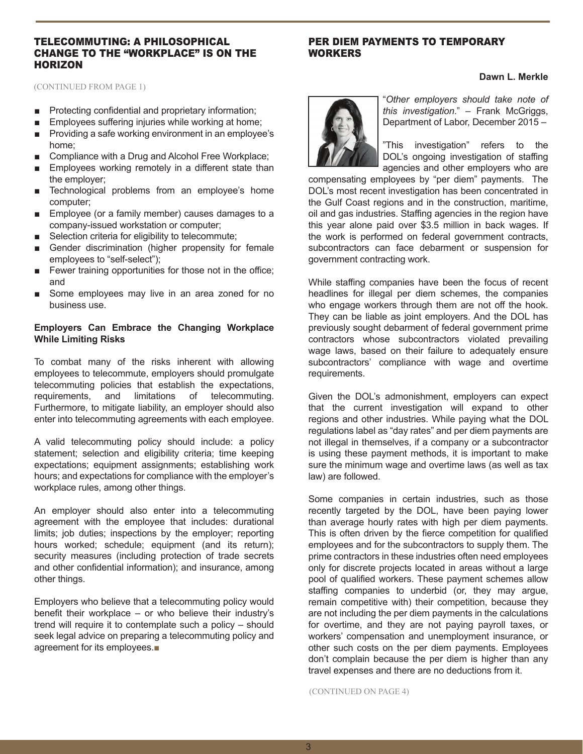#### Telecommuting: A Philosophical Change to the "Workplace" is on the **HORIZON**

## per Diem Payments to Temporary Workers

(CONTINUED from PAGE 1)

- Protecting confidential and proprietary information;
- Employees suffering injuries while working at home;
- Providing a safe working environment in an employee's home;
- Compliance with a Drug and Alcohol Free Workplace;
- Employees working remotely in a different state than the employer;
- Technological problems from an employee's home computer;
- Employee (or a family member) causes damages to a company-issued workstation or computer;
- Selection criteria for eligibility to telecommute;
- Gender discrimination (higher propensity for female employees to "self-select");
- Fewer training opportunities for those not in the office; and
- Some employees may live in an area zoned for no business use.

## **Employers Can Embrace the Changing Workplace While Limiting Risks**

To combat many of the risks inherent with allowing employees to telecommute, employers should promulgate telecommuting policies that establish the expectations, requirements, and limitations of telecommuting. Furthermore, to mitigate liability, an employer should also enter into telecommuting agreements with each employee.

A valid telecommuting policy should include: a policy statement; selection and eligibility criteria; time keeping expectations; equipment assignments; establishing work hours; and expectations for compliance with the employer's workplace rules, among other things.

An employer should also enter into a telecommuting agreement with the employee that includes: durational limits; job duties; inspections by the employer; reporting hours worked; schedule; equipment (and its return); security measures (including protection of trade secrets and other confidential information); and insurance, among other things.

Employers who believe that a telecommuting policy would benefit their workplace – or who believe their industry's trend will require it to contemplate such a policy – should seek legal advice on preparing a telecommuting policy and agreement for its employees.■

"*Other employers should take note of this investigation*." – Frank McGriggs, Department of Labor, December 2015 –

"This investigation" refers to the DOL's ongoing investigation of staffing agencies and other employers who are

compensating employees by "per diem" payments. The DOL's most recent investigation has been concentrated in the Gulf Coast regions and in the construction, maritime, oil and gas industries. Staffing agencies in the region have this year alone paid over \$3.5 million in back wages. If the work is performed on federal government contracts, subcontractors can face debarment or suspension for government contracting work.

While staffing companies have been the focus of recent headlines for illegal per diem schemes, the companies who engage workers through them are not off the hook. They can be liable as joint employers. And the DOL has previously sought debarment of federal government prime contractors whose subcontractors violated prevailing wage laws, based on their failure to adequately ensure subcontractors' compliance with wage and overtime requirements.

Given the DOL's admonishment, employers can expect that the current investigation will expand to other regions and other industries. While paying what the DOL regulations label as "day rates" and per diem payments are not illegal in themselves, if a company or a subcontractor is using these payment methods, it is important to make sure the minimum wage and overtime laws (as well as tax law) are followed.

Some companies in certain industries, such as those recently targeted by the DOL, have been paying lower than average hourly rates with high per diem payments. This is often driven by the fierce competition for qualified employees and for the subcontractors to supply them. The prime contractors in these industries often need employees only for discrete projects located in areas without a large pool of qualified workers. These payment schemes allow staffing companies to underbid (or, they may argue, remain competitive with) their competition, because they are not including the per diem payments in the calculations for overtime, and they are not paying payroll taxes, or workers' compensation and unemployment insurance, or other such costs on the per diem payments. Employees don't complain because the per diem is higher than any travel expenses and there are no deductions from it.

(CONTINUED ON PAGE 4)

**Dawn L. Merkle**